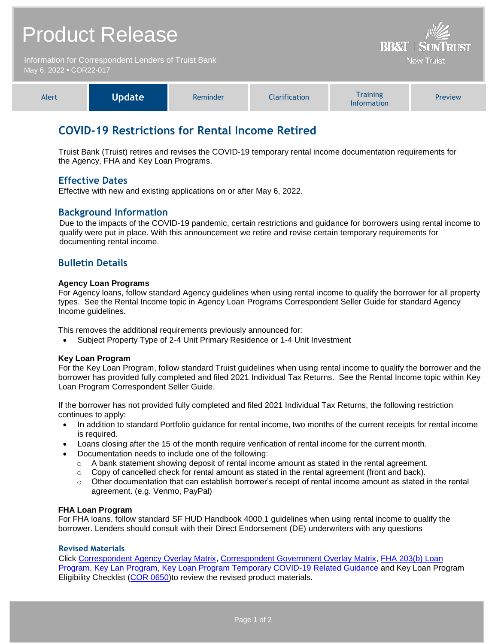# Product Release

Information for Correspondent Lenders of Truist Bank May 6, 2022 **•** COR22-017



| Alert | <b>Update</b> | Reminder | <b>Clarification</b> | <b>Training</b><br><b>Information</b> | <b>Preview</b> |
|-------|---------------|----------|----------------------|---------------------------------------|----------------|
|-------|---------------|----------|----------------------|---------------------------------------|----------------|

## **COVID-19 Restrictions for Rental Income Retired**

Truist Bank (Truist) retires and revises the COVID-19 temporary rental income documentation requirements for the Agency, FHA and Key Loan Programs.

## **Effective Dates**

Effective with new and existing applications on or after May 6, 2022.

## **Background Information**

Due to the impacts of the COVID-19 pandemic, certain restrictions and guidance for borrowers using rental income to qualify were put in place. With this announcement we retire and revise certain temporary requirements for documenting rental income.

## **Bulletin Details**

#### **Agency Loan Programs**

For Agency loans, follow standard Agency guidelines when using rental income to qualify the borrower for all property types. See the Rental Income topic in Agency Loan Programs Correspondent Seller Guide for standard Agency Income guidelines.

This removes the additional requirements previously announced for:

Subject Property Type of 2-4 Unit Primary Residence or 1-4 Unit Investment

#### **Key Loan Program**

For the Key Loan Program, follow standard Truist guidelines when using rental income to qualify the borrower and the borrower has provided fully completed and filed 2021 Individual Tax Returns. See the Rental Income topic within Key Loan Program Correspondent Seller Guide.

If the borrower has not provided fully completed and filed 2021 Individual Tax Returns, the following restriction continues to apply:

- In addition to standard Portfolio guidance for rental income, two months of the current receipts for rental income is required.
- Loans closing after the 15 of the month require verification of rental income for the current month.
- Documentation needs to include one of the following:
	- $\circ$  A bank statement showing deposit of rental income amount as stated in the rental agreement.
	- $\circ$  Copy of cancelled check for rental amount as stated in the rental agreement (front and back).
	- $\circ$  Other documentation that can establish borrower's receipt of rental income amount as stated in the rental agreement. (e.g. Venmo, PayPal)

#### **FHA Loan Program**

For FHA loans, follow standard SF HUD Handbook 4000.1 guidelines when using rental income to qualify the borrower. Lenders should consult with their Direct Endorsement (DE) underwriters with any questions

#### **Revised Materials**

Click [Correspondent Agency Overlay Matrix, Correspondent Government Overlay Matrix,](https://www.truistsellerguide.com/manual/cor/products/CAgencyCreditOverlays.pdf) [FHA 203\(b\) Loan](https://www.truistsellerguide.com/Manual/cor/products/CFHA.pdf)  [Program,](https://www.truistsellerguide.com/Manual/cor/products/CFHA.pdf) [Key Lan Program,](https://www.truistsellerguide.com/Manual/cor/products/CKey.pdf) [Key Loan Program Temporary COVID-19 Related Guidance](https://www.truistsellerguide.com/manual/cor/products/Cr22-017COVID.pdf) and Key Loan Program Eligibility Checklist [\(COR 0650\)](https://www.truistsellerguide.com/manual/cor/forms/COR0650.pdf)to review the revised product materials.